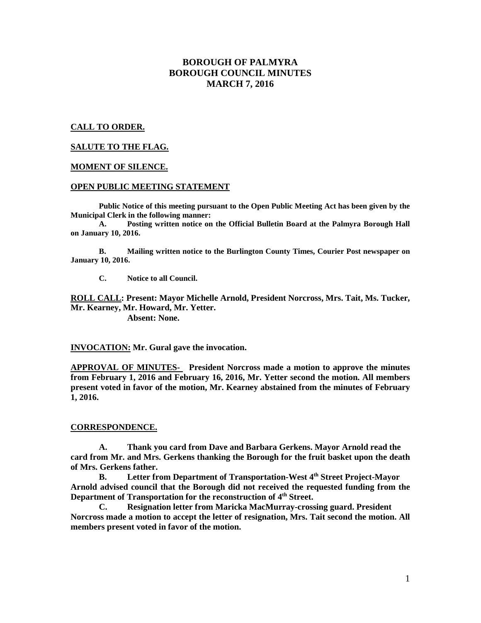# **BOROUGH OF PALMYRA BOROUGH COUNCIL MINUTES MARCH 7, 2016**

## **CALL TO ORDER.**

## **SALUTE TO THE FLAG.**

### **MOMENT OF SILENCE.**

### **OPEN PUBLIC MEETING STATEMENT**

**Public Notice of this meeting pursuant to the Open Public Meeting Act has been given by the Municipal Clerk in the following manner:** 

 **A. Posting written notice on the Official Bulletin Board at the Palmyra Borough Hall on January 10, 2016.** 

 **B. Mailing written notice to the Burlington County Times, Courier Post newspaper on January 10, 2016.** 

 **C. Notice to all Council.** 

**ROLL CALL: Present: Mayor Michelle Arnold, President Norcross, Mrs. Tait, Ms. Tucker, Mr. Kearney, Mr. Howard, Mr. Yetter.** 

 **Absent: None.** 

**INVOCATION: Mr. Gural gave the invocation.** 

**APPROVAL OF MINUTES- President Norcross made a motion to approve the minutes from February 1, 2016 and February 16, 2016, Mr. Yetter second the motion. All members present voted in favor of the motion, Mr. Kearney abstained from the minutes of February 1, 2016.** 

### **CORRESPONDENCE.**

**A. Thank you card from Dave and Barbara Gerkens. Mayor Arnold read the card from Mr. and Mrs. Gerkens thanking the Borough for the fruit basket upon the death of Mrs. Gerkens father.** 

**B. Letter from Department of Transportation-West 4th Street Project-Mayor Arnold advised council that the Borough did not received the requested funding from the Department of Transportation for the reconstruction of 4th Street.** 

**C. Resignation letter from Maricka MacMurray-crossing guard. President Norcross made a motion to accept the letter of resignation, Mrs. Tait second the motion. All members present voted in favor of the motion.**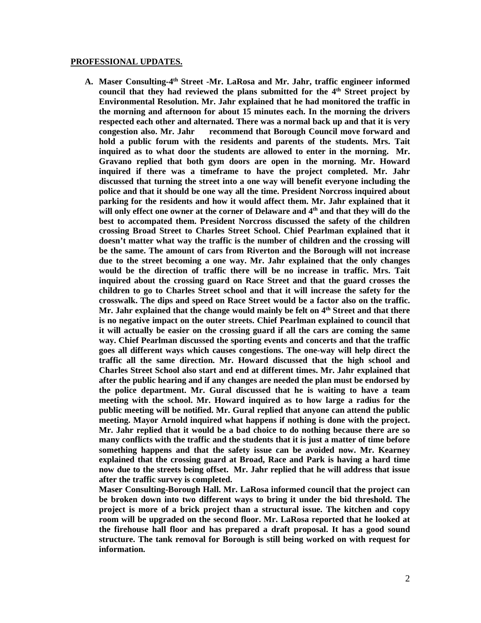#### **PROFESSIONAL UPDATES.**

**A. Maser Consulting-4th Street -Mr. LaRosa and Mr. Jahr, traffic engineer informed council that they had reviewed the plans submitted for the 4th Street project by Environmental Resolution. Mr. Jahr explained that he had monitored the traffic in the morning and afternoon for about 15 minutes each. In the morning the drivers respected each other and alternated. There was a normal back up and that it is very congestion also. Mr. Jahr recommend that Borough Council move forward and hold a public forum with the residents and parents of the students. Mrs. Tait inquired as to what door the students are allowed to enter in the morning. Mr. Gravano replied that both gym doors are open in the morning. Mr. Howard inquired if there was a timeframe to have the project completed. Mr. Jahr discussed that turning the street into a one way will benefit everyone including the police and that it should be one way all the time. President Norcross inquired about parking for the residents and how it would affect them. Mr. Jahr explained that it will only effect one owner at the corner of Delaware and 4th and that they will do the best to accompated them. President Norcross discussed the safety of the children crossing Broad Street to Charles Street School. Chief Pearlman explained that it doesn't matter what way the traffic is the number of children and the crossing will be the same. The amount of cars from Riverton and the Borough will not increase due to the street becoming a one way. Mr. Jahr explained that the only changes would be the direction of traffic there will be no increase in traffic. Mrs. Tait inquired about the crossing guard on Race Street and that the guard crosses the children to go to Charles Street school and that it will increase the safety for the crosswalk. The dips and speed on Race Street would be a factor also on the traffic. Mr. Jahr explained that the change would mainly be felt on 4th Street and that there is no negative impact on the outer streets. Chief Pearlman explained to council that it will actually be easier on the crossing guard if all the cars are coming the same way. Chief Pearlman discussed the sporting events and concerts and that the traffic goes all different ways which causes congestions. The one-way will help direct the traffic all the same direction. Mr. Howard discussed that the high school and Charles Street School also start and end at different times. Mr. Jahr explained that after the public hearing and if any changes are needed the plan must be endorsed by the police department. Mr. Gural discussed that he is waiting to have a team meeting with the school. Mr. Howard inquired as to how large a radius for the public meeting will be notified. Mr. Gural replied that anyone can attend the public meeting. Mayor Arnold inquired what happens if nothing is done with the project. Mr. Jahr replied that it would be a bad choice to do nothing because there are so many conflicts with the traffic and the students that it is just a matter of time before something happens and that the safety issue can be avoided now. Mr. Kearney explained that the crossing guard at Broad, Race and Park is having a hard time now due to the streets being offset. Mr. Jahr replied that he will address that issue after the traffic survey is completed.** 

**Maser Consulting-Borough Hall. Mr. LaRosa informed council that the project can be broken down into two different ways to bring it under the bid threshold. The project is more of a brick project than a structural issue. The kitchen and copy room will be upgraded on the second floor. Mr. LaRosa reported that he looked at the firehouse hall floor and has prepared a draft proposal. It has a good sound structure. The tank removal for Borough is still being worked on with request for information.**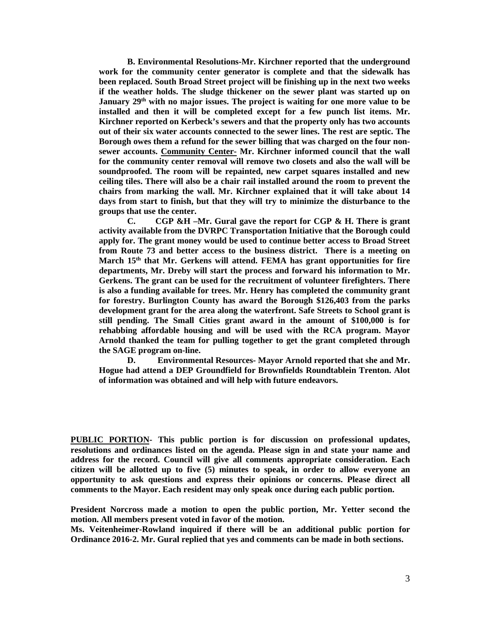**B. Environmental Resolutions-Mr. Kirchner reported that the underground work for the community center generator is complete and that the sidewalk has been replaced. South Broad Street project will be finishing up in the next two weeks if the weather holds. The sludge thickener on the sewer plant was started up on January 29th with no major issues. The project is waiting for one more value to be installed and then it will be completed except for a few punch list items. Mr. Kirchner reported on Kerbeck's sewers and that the property only has two accounts out of their six water accounts connected to the sewer lines. The rest are septic. The Borough owes them a refund for the sewer billing that was charged on the four nonsewer accounts. Community Center- Mr. Kirchner informed council that the wall for the community center removal will remove two closets and also the wall will be soundproofed. The room will be repainted, new carpet squares installed and new ceiling tiles. There will also be a chair rail installed around the room to prevent the chairs from marking the wall. Mr. Kirchner explained that it will take about 14 days from start to finish, but that they will try to minimize the disturbance to the groups that use the center.** 

 **C. CGP &H –Mr. Gural gave the report for CGP & H. There is grant activity available from the DVRPC Transportation Initiative that the Borough could apply for. The grant money would be used to continue better access to Broad Street from Route 73 and better access to the business district. There is a meeting on March 15th that Mr. Gerkens will attend. FEMA has grant opportunities for fire departments, Mr. Dreby will start the process and forward his information to Mr. Gerkens. The grant can be used for the recruitment of volunteer firefighters. There is also a funding available for trees. Mr. Henry has completed the community grant for forestry. Burlington County has award the Borough \$126,403 from the parks development grant for the area along the waterfront. Safe Streets to School grant is still pending. The Small Cities grant award in the amount of \$100,000 is for rehabbing affordable housing and will be used with the RCA program. Mayor Arnold thanked the team for pulling together to get the grant completed through the SAGE program on-line.** 

 **D. Environmental Resources- Mayor Arnold reported that she and Mr. Hogue had attend a DEP Groundfield for Brownfields Roundtablein Trenton. Alot of information was obtained and will help with future endeavors.** 

**PUBLIC PORTION- This public portion is for discussion on professional updates, resolutions and ordinances listed on the agenda. Please sign in and state your name and address for the record. Council will give all comments appropriate consideration. Each citizen will be allotted up to five (5) minutes to speak, in order to allow everyone an opportunity to ask questions and express their opinions or concerns. Please direct all comments to the Mayor. Each resident may only speak once during each public portion.** 

**President Norcross made a motion to open the public portion, Mr. Yetter second the motion. All members present voted in favor of the motion.** 

**Ms. Veitenheimer-Rowland inquired if there will be an additional public portion for Ordinance 2016-2. Mr. Gural replied that yes and comments can be made in both sections.**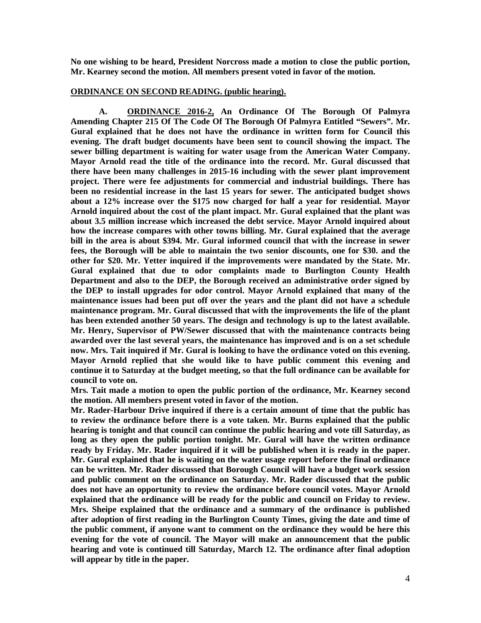**No one wishing to be heard, President Norcross made a motion to close the public portion, Mr. Kearney second the motion. All members present voted in favor of the motion.** 

### **ORDINANCE ON SECOND READING. (public hearing).**

 **A. ORDINANCE 2016-2, An Ordinance Of The Borough Of Palmyra Amending Chapter 215 Of The Code Of The Borough Of Palmyra Entitled "Sewers". Mr. Gural explained that he does not have the ordinance in written form for Council this evening. The draft budget documents have been sent to council showing the impact. The sewer billing department is waiting for water usage from the American Water Company. Mayor Arnold read the title of the ordinance into the record. Mr. Gural discussed that there have been many challenges in 2015-16 including with the sewer plant improvement project. There were fee adjustments for commercial and industrial buildings. There has been no residential increase in the last 15 years for sewer. The anticipated budget shows about a 12% increase over the \$175 now charged for half a year for residential. Mayor Arnold inquired about the cost of the plant impact. Mr. Gural explained that the plant was about 3.5 million increase which increased the debt service. Mayor Arnold inquired about how the increase compares with other towns billing. Mr. Gural explained that the average bill in the area is about \$394. Mr. Gural informed council that with the increase in sewer fees, the Borough will be able to maintain the two senior discounts, one for \$30. and the other for \$20. Mr. Yetter inquired if the improvements were mandated by the State. Mr. Gural explained that due to odor complaints made to Burlington County Health Department and also to the DEP, the Borough received an administrative order signed by the DEP to install upgrades for odor control. Mayor Arnold explained that many of the maintenance issues had been put off over the years and the plant did not have a schedule maintenance program. Mr. Gural discussed that with the improvements the life of the plant has been extended another 50 years. The design and technology is up to the latest available. Mr. Henry, Supervisor of PW/Sewer discussed that with the maintenance contracts being awarded over the last several years, the maintenance has improved and is on a set schedule now. Mrs. Tait inquired if Mr. Gural is looking to have the ordinance voted on this evening. Mayor Arnold replied that she would like to have public comment this evening and continue it to Saturday at the budget meeting, so that the full ordinance can be available for council to vote on.** 

**Mrs. Tait made a motion to open the public portion of the ordinance, Mr. Kearney second the motion. All members present voted in favor of the motion.** 

**Mr. Rader-Harbour Drive inquired if there is a certain amount of time that the public has to review the ordinance before there is a vote taken. Mr. Burns explained that the public hearing is tonight and that council can continue the public hearing and vote till Saturday, as long as they open the public portion tonight. Mr. Gural will have the written ordinance ready by Friday. Mr. Rader inquired if it will be published when it is ready in the paper. Mr. Gural explained that he is waiting on the water usage report before the final ordinance can be written. Mr. Rader discussed that Borough Council will have a budget work session and public comment on the ordinance on Saturday. Mr. Rader discussed that the public does not have an opportunity to review the ordinance before council votes. Mayor Arnold explained that the ordinance will be ready for the public and council on Friday to review. Mrs. Sheipe explained that the ordinance and a summary of the ordinance is published after adoption of first reading in the Burlington County Times, giving the date and time of the public comment, if anyone want to comment on the ordinance they would be here this evening for the vote of council. The Mayor will make an announcement that the public hearing and vote is continued till Saturday, March 12. The ordinance after final adoption will appear by title in the paper.**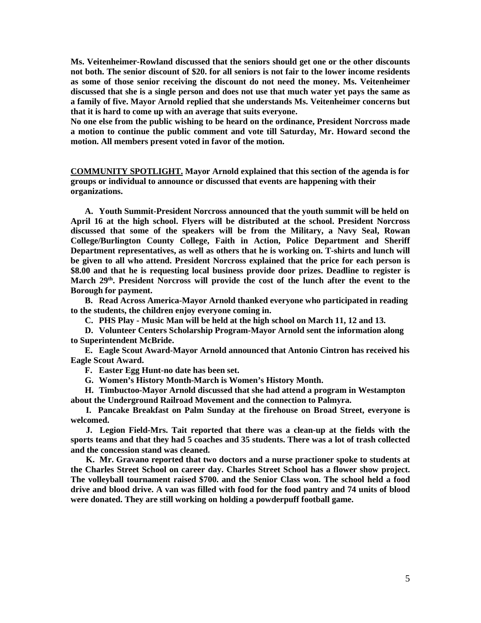**Ms. Veitenheimer-Rowland discussed that the seniors should get one or the other discounts not both. The senior discount of \$20. for all seniors is not fair to the lower income residents as some of those senior receiving the discount do not need the money. Ms. Veitenheimer discussed that she is a single person and does not use that much water yet pays the same as a family of five. Mayor Arnold replied that she understands Ms. Veitenheimer concerns but that it is hard to come up with an average that suits everyone.** 

**No one else from the public wishing to be heard on the ordinance, President Norcross made a motion to continue the public comment and vote till Saturday, Mr. Howard second the motion. All members present voted in favor of the motion.** 

**COMMUNITY SPOTLIGHT. Mayor Arnold explained that this section of the agenda is for groups or individual to announce or discussed that events are happening with their organizations.** 

**A. Youth Summit-President Norcross announced that the youth summit will be held on April 16 at the high school. Flyers will be distributed at the school. President Norcross discussed that some of the speakers will be from the Military, a Navy Seal, Rowan College/Burlington County College, Faith in Action, Police Department and Sheriff Department representatives, as well as others that he is working on. T-shirts and lunch will be given to all who attend. President Norcross explained that the price for each person is \$8.00 and that he is requesting local business provide door prizes. Deadline to register is March 29th. President Norcross will provide the cost of the lunch after the event to the Borough for payment.** 

**B. Read Across America-Mayor Arnold thanked everyone who participated in reading to the students, the children enjoy everyone coming in.** 

**C. PHS Play - Music Man will be held at the high school on March 11, 12 and 13.** 

**D. Volunteer Centers Scholarship Program-Mayor Arnold sent the information along to Superintendent McBride.** 

**E. Eagle Scout Award-Mayor Arnold announced that Antonio Cintron has received his Eagle Scout Award.** 

**F. Easter Egg Hunt-no date has been set.** 

**G. Women's History Month-March is Women's History Month.** 

**H. Timbuctoo-Mayor Arnold discussed that she had attend a program in Westampton about the Underground Railroad Movement and the connection to Palmyra.** 

 **I. Pancake Breakfast on Palm Sunday at the firehouse on Broad Street, everyone is welcomed.** 

 **J. Legion Field-Mrs. Tait reported that there was a clean-up at the fields with the sports teams and that they had 5 coaches and 35 students. There was a lot of trash collected and the concession stand was cleaned.** 

 **K. Mr. Gravano reported that two doctors and a nurse practioner spoke to students at the Charles Street School on career day. Charles Street School has a flower show project. The volleyball tournament raised \$700. and the Senior Class won. The school held a food drive and blood drive. A van was filled with food for the food pantry and 74 units of blood were donated. They are still working on holding a powderpuff football game.**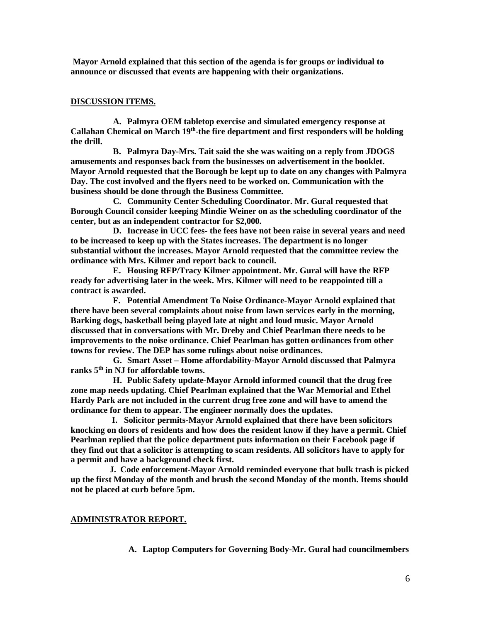**Mayor Arnold explained that this section of the agenda is for groups or individual to announce or discussed that events are happening with their organizations.** 

## **DISCUSSION ITEMS.**

**A. Palmyra OEM tabletop exercise and simulated emergency response at Callahan Chemical on March 19th-the fire department and first responders will be holding the drill.** 

**B. Palmyra Day-Mrs. Tait said the she was waiting on a reply from JDOGS amusements and responses back from the businesses on advertisement in the booklet. Mayor Arnold requested that the Borough be kept up to date on any changes with Palmyra Day. The cost involved and the flyers need to be worked on. Communication with the business should be done through the Business Committee.** 

**C. Community Center Scheduling Coordinator. Mr. Gural requested that Borough Council consider keeping Mindie Weiner on as the scheduling coordinator of the center, but as an independent contractor for \$2,000.** 

**D. Increase in UCC fees- the fees have not been raise in several years and need to be increased to keep up with the States increases. The department is no longer substantial without the increases. Mayor Arnold requested that the committee review the ordinance with Mrs. Kilmer and report back to council.** 

**E. Housing RFP/Tracy Kilmer appointment. Mr. Gural will have the RFP ready for advertising later in the week. Mrs. Kilmer will need to be reappointed till a contract is awarded.** 

**F. Potential Amendment To Noise Ordinance-Mayor Arnold explained that there have been several complaints about noise from lawn services early in the morning, Barking dogs, basketball being played late at night and loud music. Mayor Arnold discussed that in conversations with Mr. Dreby and Chief Pearlman there needs to be improvements to the noise ordinance. Chief Pearlman has gotten ordinances from other towns for review. The DEP has some rulings about noise ordinances.** 

**G. Smart Asset – Home affordability-Mayor Arnold discussed that Palmyra ranks 5th in NJ for affordable towns.** 

**H. Public Safety update-Mayor Arnold informed council that the drug free zone map needs updating. Chief Pearlman explained that the War Memorial and Ethel Hardy Park are not included in the current drug free zone and will have to amend the ordinance for them to appear. The engineer normally does the updates.** 

 **I. Solicitor permits-Mayor Arnold explained that there have been solicitors knocking on doors of residents and how does the resident know if they have a permit. Chief Pearlman replied that the police department puts information on their Facebook page if they find out that a solicitor is attempting to scam residents. All solicitors have to apply for a permit and have a background check first.** 

 **J. Code enforcement-Mayor Arnold reminded everyone that bulk trash is picked up the first Monday of the month and brush the second Monday of the month. Items should not be placed at curb before 5pm.** 

### **ADMINISTRATOR REPORT.**

**A. Laptop Computers for Governing Body-Mr. Gural had councilmembers**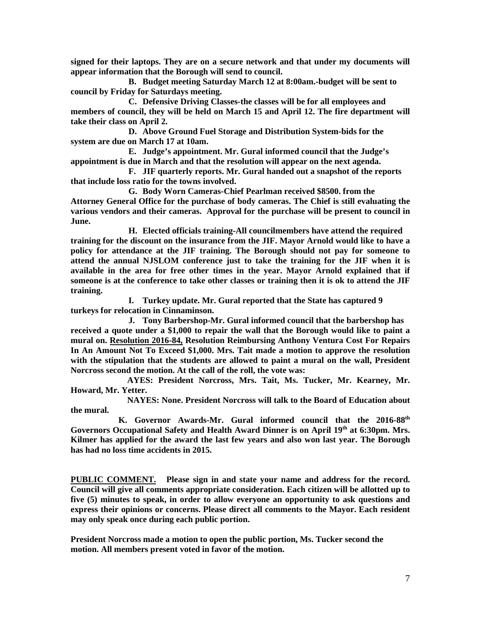**signed for their laptops. They are on a secure network and that under my documents will appear information that the Borough will send to council.** 

**B. Budget meeting Saturday March 12 at 8:00am.-budget will be sent to council by Friday for Saturdays meeting.** 

**C. Defensive Driving Classes-the classes will be for all employees and members of council, they will be held on March 15 and April 12. The fire department will take their class on April 2.** 

**D. Above Ground Fuel Storage and Distribution System-bids for the system are due on March 17 at 10am.** 

**E. Judge's appointment. Mr. Gural informed council that the Judge's appointment is due in March and that the resolution will appear on the next agenda.** 

**F. JIF quarterly reports. Mr. Gural handed out a snapshot of the reports that include loss ratio for the towns involved.** 

**G. Body Worn Cameras-Chief Pearlman received \$8500. from the Attorney General Office for the purchase of body cameras. The Chief is still evaluating the various vendors and their cameras. Approval for the purchase will be present to council in June.** 

**H. Elected officials training-All councilmembers have attend the required training for the discount on the insurance from the JIF. Mayor Arnold would like to have a policy for attendance at the JIF training. The Borough should not pay for someone to attend the annual NJSLOM conference just to take the training for the JIF when it is available in the area for free other times in the year. Mayor Arnold explained that if someone is at the conference to take other classes or training then it is ok to attend the JIF training.** 

**I. Turkey update. Mr. Gural reported that the State has captured 9 turkeys for relocation in Cinnaminson.** 

**J. Tony Barbershop-Mr. Gural informed council that the barbershop has received a quote under a \$1,000 to repair the wall that the Borough would like to paint a mural on. Resolution 2016-84, Resolution Reimbursing Anthony Ventura Cost For Repairs In An Amount Not To Exceed \$1,000. Mrs. Tait made a motion to approve the resolution with the stipulation that the students are allowed to paint a mural on the wall, President Norcross second the motion. At the call of the roll, the vote was:** 

 **AYES: President Norcross, Mrs. Tait, Ms. Tucker, Mr. Kearney, Mr. Howard, Mr. Yetter.** 

 **NAYES: None. President Norcross will talk to the Board of Education about the mural.** 

 **K. Governor Awards-Mr. Gural informed council that the 2016-88th Governors Occupational Safety and Health Award Dinner is on April 19th at 6:30pm. Mrs. Kilmer has applied for the award the last few years and also won last year. The Borough has had no loss time accidents in 2015.** 

**PUBLIC COMMENT. Please sign in and state your name and address for the record. Council will give all comments appropriate consideration. Each citizen will be allotted up to five (5) minutes to speak, in order to allow everyone an opportunity to ask questions and express their opinions or concerns. Please direct all comments to the Mayor. Each resident may only speak once during each public portion.** 

**President Norcross made a motion to open the public portion, Ms. Tucker second the motion. All members present voted in favor of the motion.**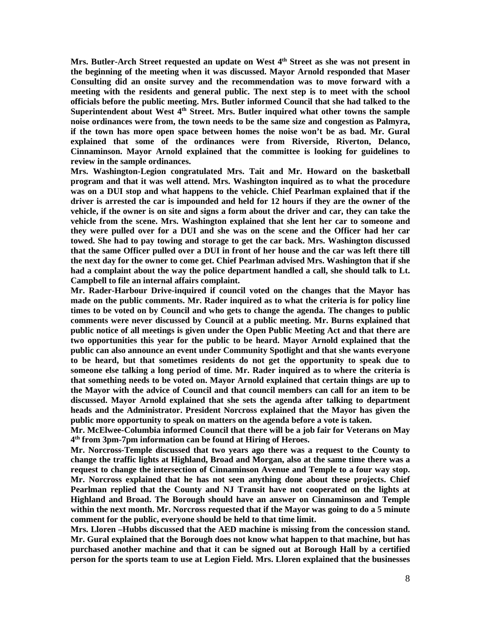**Mrs. Butler-Arch Street requested an update on West 4th Street as she was not present in the beginning of the meeting when it was discussed. Mayor Arnold responded that Maser Consulting did an onsite survey and the recommendation was to move forward with a meeting with the residents and general public. The next step is to meet with the school officials before the public meeting. Mrs. Butler informed Council that she had talked to the Superintendent about West 4th Street. Mrs. Butler inquired what other towns the sample noise ordinances were from, the town needs to be the same size and congestion as Palmyra, if the town has more open space between homes the noise won't be as bad. Mr. Gural explained that some of the ordinances were from Riverside, Riverton, Delanco, Cinnaminson. Mayor Arnold explained that the committee is looking for guidelines to review in the sample ordinances.** 

**Mrs. Washington-Legion congratulated Mrs. Tait and Mr. Howard on the basketball program and that it was well attend. Mrs. Washington inquired as to what the procedure was on a DUI stop and what happens to the vehicle. Chief Pearlman explained that if the driver is arrested the car is impounded and held for 12 hours if they are the owner of the vehicle, if the owner is on site and signs a form about the driver and car, they can take the vehicle from the scene. Mrs. Washington explained that she lent her car to someone and they were pulled over for a DUI and she was on the scene and the Officer had her car towed. She had to pay towing and storage to get the car back. Mrs. Washington discussed that the same Officer pulled over a DUI in front of her house and the car was left there till the next day for the owner to come get. Chief Pearlman advised Mrs. Washington that if she had a complaint about the way the police department handled a call, she should talk to Lt. Campbell to file an internal affairs complaint.** 

**Mr. Rader-Harbour Drive-inquired if council voted on the changes that the Mayor has made on the public comments. Mr. Rader inquired as to what the criteria is for policy line times to be voted on by Council and who gets to change the agenda. The changes to public comments were never discussed by Council at a public meeting. Mr. Burns explained that public notice of all meetings is given under the Open Public Meeting Act and that there are two opportunities this year for the public to be heard. Mayor Arnold explained that the public can also announce an event under Community Spotlight and that she wants everyone to be heard, but that sometimes residents do not get the opportunity to speak due to someone else talking a long period of time. Mr. Rader inquired as to where the criteria is that something needs to be voted on. Mayor Arnold explained that certain things are up to the Mayor with the advice of Council and that council members can call for an item to be discussed. Mayor Arnold explained that she sets the agenda after talking to department heads and the Administrator. President Norcross explained that the Mayor has given the public more opportunity to speak on matters on the agenda before a vote is taken.** 

**Mr. McElwee-Columbia informed Council that there will be a job fair for Veterans on May 4 th from 3pm-7pm information can be found at Hiring of Heroes.** 

**Mr. Norcross-Temple discussed that two years ago there was a request to the County to change the traffic lights at Highland, Broad and Morgan, also at the same time there was a request to change the intersection of Cinnaminson Avenue and Temple to a four way stop. Mr. Norcross explained that he has not seen anything done about these projects. Chief Pearlman replied that the County and NJ Transit have not cooperated on the lights at Highland and Broad. The Borough should have an answer on Cinnaminson and Temple within the next month. Mr. Norcross requested that if the Mayor was going to do a 5 minute comment for the public, everyone should be held to that time limit.** 

**Mrs. Lloren –Hubbs discussed that the AED machine is missing from the concession stand. Mr. Gural explained that the Borough does not know what happen to that machine, but has purchased another machine and that it can be signed out at Borough Hall by a certified person for the sports team to use at Legion Field. Mrs. Lloren explained that the businesses**